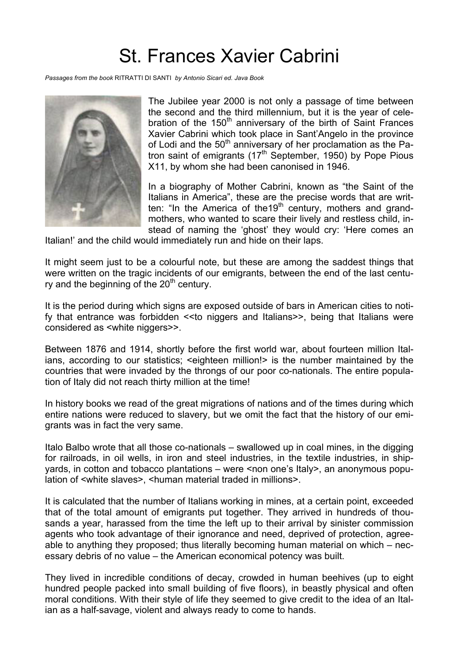## St. Frances Xavier Cabrini

*Passages from the book* RITRATTI DI SANTI *by Antonio Sicari ed. Java Book*



The Jubilee year 2000 is not only a passage of time between the second and the third millennium, but it is the year of celebration of the  $150<sup>th</sup>$  anniversary of the birth of Saint Frances Xavier Cabrini which took place in Sant'Angelo in the province of Lodi and the  $50<sup>th</sup>$  anniversary of her proclamation as the Patron saint of emigrants (17<sup>th</sup> September, 1950) by Pope Pious X11, by whom she had been canonised in 1946.

In a biography of Mother Cabrini, known as "the Saint of the Italians in America", these are the precise words that are written: "In the America of the 19<sup>th</sup> century, mothers and grandmothers, who wanted to scare their lively and restless child, instead of naming the 'ghost' they would cry: 'Here comes an

Italian!' and the child would immediately run and hide on their laps.

It might seem just to be a colourful note, but these are among the saddest things that were written on the tragic incidents of our emigrants, between the end of the last century and the beginning of the  $20<sup>th</sup>$  century.

It is the period during which signs are exposed outside of bars in American cities to notify that entrance was forbidden << to niggers and Italians>>, being that Italians were considered as <white niggers>>.

Between 1876 and 1914, shortly before the first world war, about fourteen million Italians, according to our statistics; <eighteen million!> is the number maintained by the countries that were invaded by the throngs of our poor co-nationals. The entire population of Italy did not reach thirty million at the time!

In history books we read of the great migrations of nations and of the times during which entire nations were reduced to slavery, but we omit the fact that the history of our emigrants was in fact the very same.

Italo Balbo wrote that all those co-nationals – swallowed up in coal mines, in the digging for railroads, in oil wells, in iron and steel industries, in the textile industries, in shipyards, in cotton and tobacco plantations – were <non one's Italy>, an anonymous population of <white slaves>, <human material traded in millions>.

It is calculated that the number of Italians working in mines, at a certain point, exceeded that of the total amount of emigrants put together. They arrived in hundreds of thousands a year, harassed from the time the left up to their arrival by sinister commission agents who took advantage of their ignorance and need, deprived of protection, agreeable to anything they proposed; thus literally becoming human material on which – necessary debris of no value – the American economical potency was built.

They lived in incredible conditions of decay, crowded in human beehives (up to eight hundred people packed into small building of five floors), in beastly physical and often moral conditions. With their style of life they seemed to give credit to the idea of an Italian as a half-savage, violent and always ready to come to hands.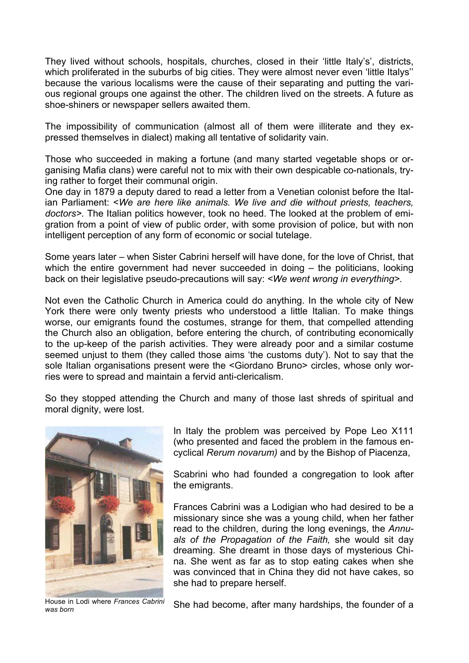They lived without schools, hospitals, churches, closed in their 'little Italy's', districts, which proliferated in the suburbs of big cities. They were almost never even 'little Italys" because the various localisms were the cause of their separating and putting the various regional groups one against the other. The children lived on the streets. A future as shoe-shiners or newspaper sellers awaited them.

The impossibility of communication (almost all of them were illiterate and they expressed themselves in dialect) making all tentative of solidarity vain.

Those who succeeded in making a fortune (and many started vegetable shops or organising Mafia clans) were careful not to mix with their own despicable co-nationals, trying rather to forget their communal origin.

One day in 1879 a deputy dared to read a letter from a Venetian colonist before the Italian Parliament: <*We are here like animals. We live and die without priests, teachers, doctors>.* The Italian politics however, took no heed. The looked at the problem of emigration from a point of view of public order, with some provision of police, but with non intelligent perception of any form of economic or social tutelage.

Some years later – when Sister Cabrini herself will have done, for the love of Christ, that which the entire government had never succeeded in doing – the politicians, looking back on their legislative pseudo-precautions will say: *<We went wrong in everything>.*

Not even the Catholic Church in America could do anything. In the whole city of New York there were only twenty priests who understood a little Italian. To make things worse, our emigrants found the costumes, strange for them, that compelled attending the Church also an obligation, before entering the church, of contributing economically to the up-keep of the parish activities. They were already poor and a similar costume seemed unjust to them (they called those aims 'the customs duty'). Not to say that the sole Italian organisations present were the <Giordano Bruno> circles, whose only worries were to spread and maintain a fervid anti-clericalism.

So they stopped attending the Church and many of those last shreds of spiritual and moral dignity, were lost.



*was born*

In Italy the problem was perceived by Pope Leo X111 (who presented and faced the problem in the famous encyclical *Rerum novarum)* and by the Bishop of Piacenza,

Scabrini who had founded a congregation to look after the emigrants.

Frances Cabrini was a Lodigian who had desired to be a missionary since she was a young child, when her father read to the children, during the long evenings, the *Annuals of the Propagation of the Faith,* she would sit day dreaming. She dreamt in those days of mysterious China. She went as far as to stop eating cakes when she was convinced that in China they did not have cakes, so she had to prepare herself.

House in Lodi where *Frances Cabrini* She had become, after many hardships, the founder of a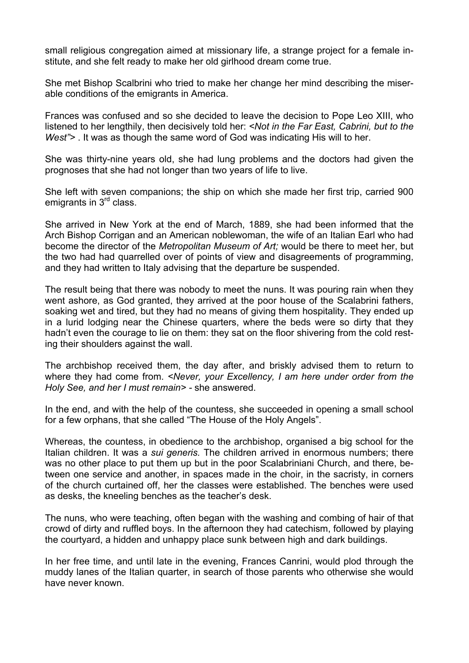small religious congregation aimed at missionary life, a strange project for a female institute, and she felt ready to make her old girlhood dream come true.

She met Bishop Scalbrini who tried to make her change her mind describing the miserable conditions of the emigrants in America.

Frances was confused and so she decided to leave the decision to Pope Leo XIII, who listened to her lengthily, then decisively told her: *<Not in the Far East, Cabrini, but to the West">* . It was as though the same word of God was indicating His will to her.

She was thirty-nine years old, she had lung problems and the doctors had given the prognoses that she had not longer than two years of life to live.

She left with seven companions; the ship on which she made her first trip, carried 900 emigrants in 3<sup>rd</sup> class.

She arrived in New York at the end of March, 1889, she had been informed that the Arch Bishop Corrigan and an American noblewoman, the wife of an Italian Earl who had become the director of the *Metropolitan Museum of Art;* would be there to meet her, but the two had had quarrelled over of points of view and disagreements of programming, and they had written to Italy advising that the departure be suspended.

The result being that there was nobody to meet the nuns. It was pouring rain when they went ashore, as God granted, they arrived at the poor house of the Scalabrini fathers, soaking wet and tired, but they had no means of giving them hospitality. They ended up in a lurid lodging near the Chinese quarters, where the beds were so dirty that they hadn't even the courage to lie on them: they sat on the floor shivering from the cold resting their shoulders against the wall.

The archbishop received them, the day after, and briskly advised them to return to where they had come from. *<Never, your Excellency, I am here under order from the Holy See, and her I must remain> -* she answered.

In the end, and with the help of the countess, she succeeded in opening a small school for a few orphans, that she called "The House of the Holy Angels".

Whereas, the countess, in obedience to the archbishop, organised a big school for the Italian children. It was a *sui generis.* The children arrived in enormous numbers; there was no other place to put them up but in the poor Scalabriniani Church, and there, between one service and another, in spaces made in the choir, in the sacristy, in corners of the church curtained off, her the classes were established. The benches were used as desks, the kneeling benches as the teacher's desk.

The nuns, who were teaching, often began with the washing and combing of hair of that crowd of dirty and ruffled boys. In the afternoon they had catechism, followed by playing the courtyard, a hidden and unhappy place sunk between high and dark buildings.

In her free time, and until late in the evening, Frances Canrini, would plod through the muddy lanes of the Italian quarter, in search of those parents who otherwise she would have never known.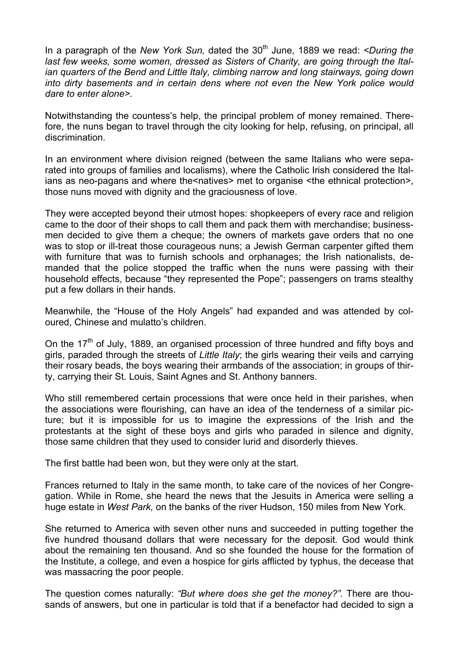In a paragraph of the *New York Sun*, dated the 30<sup>th</sup> June, 1889 we read: *<During the last few weeks, some women, dressed as Sisters of Charity, are going through the Italian quarters of the Bend and Little Italy, climbing narrow and long stairways, going down into dirty basements and in certain dens where not even the New York police would dare to enter alone>.*

Notwithstanding the countess's help, the principal problem of money remained. Therefore, the nuns began to travel through the city looking for help, refusing, on principal, all discrimination.

In an environment where division reigned (between the same Italians who were separated into groups of families and localisms), where the Catholic Irish considered the Italians as neo-pagans and where the<natives> met to organise <the ethnical protection>, those nuns moved with dignity and the graciousness of love.

They were accepted beyond their utmost hopes: shopkeepers of every race and religion came to the door of their shops to call them and pack them with merchandise; businessmen decided to give them a cheque; the owners of markets gave orders that no one was to stop or ill-treat those courageous nuns; a Jewish German carpenter gifted them with furniture that was to furnish schools and orphanages; the Irish nationalists, demanded that the police stopped the traffic when the nuns were passing with their household effects, because "they represented the Pope"; passengers on trams stealthy put a few dollars in their hands.

Meanwhile, the "House of the Holy Angels" had expanded and was attended by coloured, Chinese and mulatto's children.

On the  $17<sup>th</sup>$  of July, 1889, an organised procession of three hundred and fifty boys and girls, paraded through the streets of *Little Italy*; the girls wearing their veils and carrying their rosary beads, the boys wearing their armbands of the association; in groups of thirty, carrying their St. Louis, Saint Agnes and St. Anthony banners.

Who still remembered certain processions that were once held in their parishes, when the associations were flourishing, can have an idea of the tenderness of a similar picture; but it is impossible for us to imagine the expressions of the Irish and the protestants at the sight of these boys and girls who paraded in silence and dignity, those same children that they used to consider lurid and disorderly thieves.

The first battle had been won, but they were only at the start.

Frances returned to Italy in the same month, to take care of the novices of her Congregation. While in Rome, she heard the news that the Jesuits in America were selling a huge estate in *West Park,* on the banks of the river Hudson, 150 miles from New York.

She returned to America with seven other nuns and succeeded in putting together the five hundred thousand dollars that were necessary for the deposit. God would think about the remaining ten thousand. And so she founded the house for the formation of the Institute, a college, and even a hospice for girls afflicted by typhus, the decease that was massacring the poor people.

The question comes naturally: *"But where does she get the money?".* There are thousands of answers, but one in particular is told that if a benefactor had decided to sign a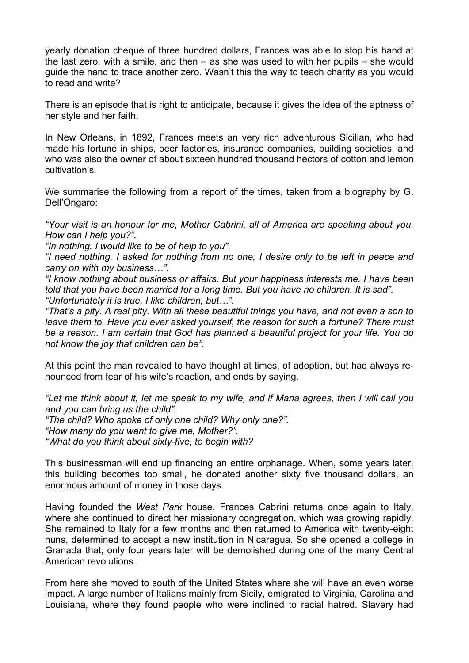yearly donation cheque of three hundred dollars, Frances was able to stop his hand at the last zero, with a smile, and then – as she was used to with her pupils – she would guide the hand to trace another zero. Wasn't this the way to teach charity as you would to read and write?

There is an episode that is right to anticipate, because it gives the idea of the aptness of her style and her faith.

In New Orleans, in 1892, Frances meets an very rich adventurous Sicilian, who had made his fortune in ships, beer factories, insurance companies, building societies, and who was also the owner of about sixteen hundred thousand hectors of cotton and lemon cultivation's.

We summarise the following from a report of the times, taken from a biography by G. Dell'Ongaro:

*"Your visit is an honour for me, Mother Cabrini, all of America are speaking about you. How can I help you?".*

*"In nothing. I would like to be of help to you".*

*"I need nothing. I asked for nothing from no one, I desire only to be left in peace and carry on with my business…".*

*"I know nothing about business or affairs. But your happiness interests me. I have been told that you have been married for a long time. But you have no children. It is sad". "Unfortunately it is true, I like children, but…".*

*"That's a pity. A real pity. With all these beautiful things you have, and not even a son to leave them to. Have you ever asked yourself, the reason for such a fortune? There must be a reason. I am certain that God has planned a beautiful project for your life. You do not know the joy that children can be".*

At this point the man revealed to have thought at times, of adoption, but had always renounced from fear of his wife's reaction, and ends by saying.

*"Let me think about it, let me speak to my wife, and if Maria agrees, then I will call you and you can bring us the child".*

*"The child? Who spoke of only one child? Why only one?".*

*"How many do you want to give me, Mother?".*

*"What do you think about sixty-five, to begin with?*

This businessman will end up financing an entire orphanage. When, some years later, this building becomes too small, he donated another sixty five thousand dollars, an enormous amount of money in those days.

Having founded the *West Park* house, Frances Cabrini returns once again to Italy, where she continued to direct her missionary congregation, which was growing rapidly. She remained to Italy for a few months and then returned to America with twenty-eight nuns, determined to accept a new institution in Nicaragua. So she opened a college in Granada that, only four years later will be demolished during one of the many Central American revolutions.

From here she moved to south of the United States where she will have an even worse impact. A large number of Italians mainly from Sicily, emigrated to Virginia, Carolina and Louisiana, where they found people who were inclined to racial hatred. Slavery had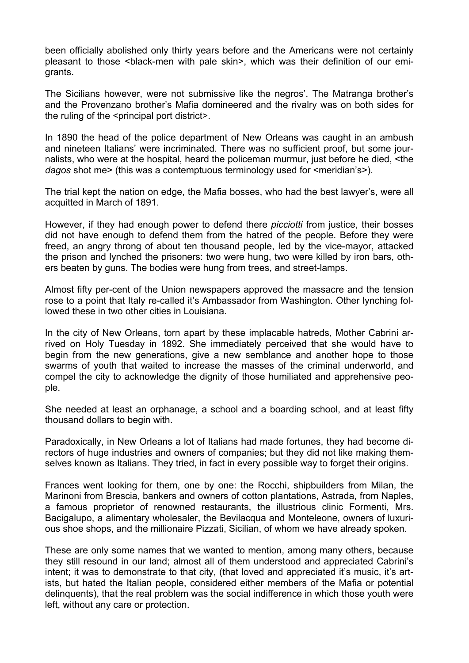been officially abolished only thirty years before and the Americans were not certainly pleasant to those <black-men with pale skin>, which was their definition of our emigrants.

The Sicilians however, were not submissive like the negros'. The Matranga brother's and the Provenzano brother's Mafia domineered and the rivalry was on both sides for the ruling of the <principal port district>.

In 1890 the head of the police department of New Orleans was caught in an ambush and nineteen Italians' were incriminated. There was no sufficient proof, but some journalists, who were at the hospital, heard the policeman murmur, just before he died, <the *dagos* shot me> (this was a contemptuous terminology used for <meridian's>).

The trial kept the nation on edge, the Mafia bosses, who had the best lawyer's, were all acquitted in March of 1891.

However, if they had enough power to defend there *picciotti* from justice, their bosses did not have enough to defend them from the hatred of the people. Before they were freed, an angry throng of about ten thousand people, led by the vice-mayor, attacked the prison and lynched the prisoners: two were hung, two were killed by iron bars, others beaten by guns. The bodies were hung from trees, and street-lamps.

Almost fifty per-cent of the Union newspapers approved the massacre and the tension rose to a point that Italy re-called it's Ambassador from Washington. Other lynching followed these in two other cities in Louisiana.

In the city of New Orleans, torn apart by these implacable hatreds, Mother Cabrini arrived on Holy Tuesday in 1892. She immediately perceived that she would have to begin from the new generations, give a new semblance and another hope to those swarms of youth that waited to increase the masses of the criminal underworld, and compel the city to acknowledge the dignity of those humiliated and apprehensive people.

She needed at least an orphanage, a school and a boarding school, and at least fifty thousand dollars to begin with.

Paradoxically, in New Orleans a lot of Italians had made fortunes, they had become directors of huge industries and owners of companies; but they did not like making themselves known as Italians. They tried, in fact in every possible way to forget their origins.

Frances went looking for them, one by one: the Rocchi, shipbuilders from Milan, the Marinoni from Brescia, bankers and owners of cotton plantations, Astrada, from Naples, a famous proprietor of renowned restaurants, the illustrious clinic Formenti, Mrs. Bacigalupo, a alimentary wholesaler, the Bevilacqua and Monteleone, owners of luxurious shoe shops, and the millionaire Pizzati, Sicilian, of whom we have already spoken.

These are only some names that we wanted to mention, among many others, because they still resound in our land; almost all of them understood and appreciated Cabrini's intent; it was to demonstrate to that city, (that loved and appreciated it's music, it's artists, but hated the Italian people, considered either members of the Mafia or potential delinquents), that the real problem was the social indifference in which those youth were left, without any care or protection.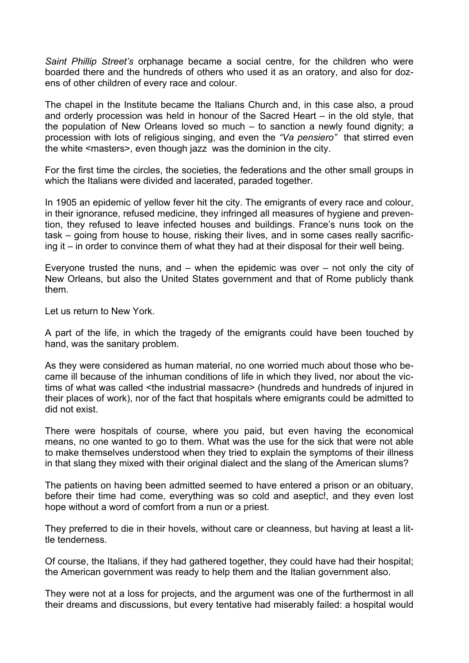*Saint Phillip Street's* orphanage became a social centre, for the children who were boarded there and the hundreds of others who used it as an oratory, and also for dozens of other children of every race and colour.

The chapel in the Institute became the Italians Church and, in this case also, a proud and orderly procession was held in honour of the Sacred Heart – in the old style, that the population of New Orleans loved so much – to sanction a newly found dignity; a procession with lots of religious singing, and even the *"Va pensiero"* that stirred even the white <masters>, even though jazz was the dominion in the city.

For the first time the circles, the societies, the federations and the other small groups in which the Italians were divided and lacerated, paraded together.

In 1905 an epidemic of yellow fever hit the city. The emigrants of every race and colour, in their ignorance, refused medicine, they infringed all measures of hygiene and prevention, they refused to leave infected houses and buildings. France's nuns took on the task – going from house to house, risking their lives, and in some cases really sacrificing it – in order to convince them of what they had at their disposal for their well being.

Everyone trusted the nuns, and – when the epidemic was over – not only the city of New Orleans, but also the United States government and that of Rome publicly thank them.

Let us return to New York.

A part of the life, in which the tragedy of the emigrants could have been touched by hand, was the sanitary problem.

As they were considered as human material, no one worried much about those who became ill because of the inhuman conditions of life in which they lived, nor about the victims of what was called <the industrial massacre> (hundreds and hundreds of injured in their places of work), nor of the fact that hospitals where emigrants could be admitted to did not exist.

There were hospitals of course, where you paid, but even having the economical means, no one wanted to go to them. What was the use for the sick that were not able to make themselves understood when they tried to explain the symptoms of their illness in that slang they mixed with their original dialect and the slang of the American slums?

The patients on having been admitted seemed to have entered a prison or an obituary, before their time had come, everything was so cold and aseptic!, and they even lost hope without a word of comfort from a nun or a priest.

They preferred to die in their hovels, without care or cleanness, but having at least a little tenderness.

Of course, the Italians, if they had gathered together, they could have had their hospital; the American government was ready to help them and the Italian government also.

They were not at a loss for projects, and the argument was one of the furthermost in all their dreams and discussions, but every tentative had miserably failed: a hospital would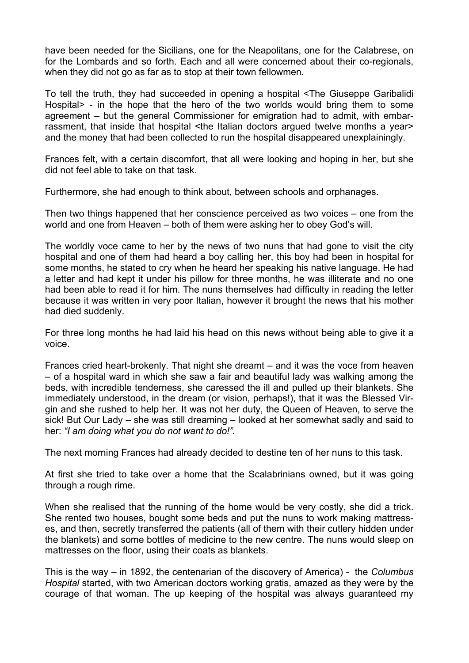have been needed for the Sicilians, one for the Neapolitans, one for the Calabrese, on for the Lombards and so forth. Each and all were concerned about their co-regionals, when they did not go as far as to stop at their town fellowmen.

To tell the truth, they had succeeded in opening a hospital <The Giuseppe Garibalidi Hospital> - in the hope that the hero of the two worlds would bring them to some agreement – but the general Commissioner for emigration had to admit, with embarrassment, that inside that hospital <the Italian doctors argued twelve months a year> and the money that had been collected to run the hospital disappeared unexplainingly.

Frances felt, with a certain discomfort, that all were looking and hoping in her, but she did not feel able to take on that task.

Furthermore, she had enough to think about, between schools and orphanages.

Then two things happened that her conscience perceived as two voices – one from the world and one from Heaven – both of them were asking her to obey God's will.

The worldly voce came to her by the news of two nuns that had gone to visit the city hospital and one of them had heard a boy calling her, this boy had been in hospital for some months, he stated to cry when he heard her speaking his native language. He had a letter and had kept it under his pillow for three months, he was illiterate and no one had been able to read it for him. The nuns themselves had difficulty in reading the letter because it was written in very poor Italian, however it brought the news that his mother had died suddenly.

For three long months he had laid his head on this news without being able to give it a voice.

Frances cried heart-brokenly. That night she dreamt – and it was the voce from heaven – of a hospital ward in which she saw a fair and beautiful lady was walking among the beds, with incredible tenderness, she caressed the ill and pulled up their blankets. She immediately understood, in the dream (or vision, perhaps!), that it was the Blessed Virgin and she rushed to help her. It was not her duty, the Queen of Heaven, to serve the sick! But Our Lady – she was still dreaming – looked at her somewhat sadly and said to her: *"I am doing what you do not want to do!".*

The next morning Frances had already decided to destine ten of her nuns to this task.

At first she tried to take over a home that the Scalabrinians owned, but it was going through a rough rime.

When she realised that the running of the home would be very costly, she did a trick. She rented two houses, bought some beds and put the nuns to work making mattresses, and then, secretly transferred the patients (all of them with their cutlery hidden under the blankets) and some bottles of medicine to the new centre. The nuns would sleep on mattresses on the floor, using their coats as blankets.

This is the way – in 1892, the centenarian of the discovery of America) - the *Columbus Hospital* started, with two American doctors working gratis, amazed as they were by the courage of that woman. The up keeping of the hospital was always guaranteed my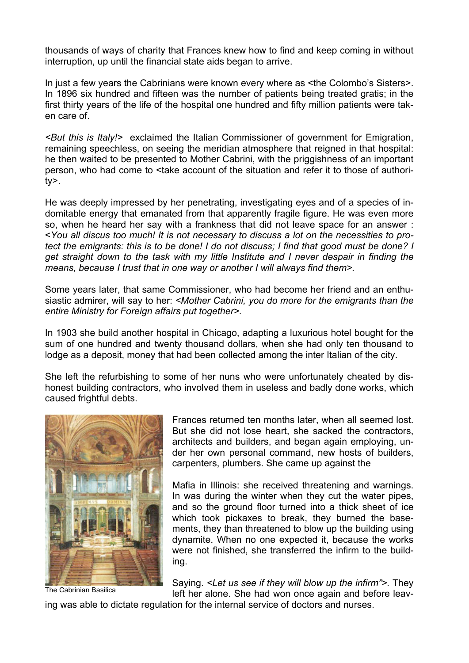thousands of ways of charity that Frances knew how to find and keep coming in without interruption, up until the financial state aids began to arrive.

In just a few years the Cabrinians were known every where as <the Colombo's Sisters>. In 1896 six hundred and fifteen was the number of patients being treated gratis; in the first thirty years of the life of the hospital one hundred and fifty million patients were taken care of.

*<But this is Italy!>* exclaimed the Italian Commissioner of government for Emigration, remaining speechless, on seeing the meridian atmosphere that reigned in that hospital: he then waited to be presented to Mother Cabrini, with the priggishness of an important person, who had come to <take account of the situation and refer it to those of authority>.

He was deeply impressed by her penetrating, investigating eyes and of a species of indomitable energy that emanated from that apparently fragile figure. He was even more so, when he heard her say with a frankness that did not leave space for an answer : <*You all discus too much! It is not necessary to discuss a lot on the necessities to protect the emigrants: this is to be done! I do not discuss; I find that good must be done? I get straight down to the task with my little Institute and I never despair in finding the means, because I trust that in one way or another I will always find them>.*

Some years later, that same Commissioner, who had become her friend and an enthusiastic admirer, will say to her: *<Mother Cabrini, you do more for the emigrants than the entire Ministry for Foreign affairs put together>.*

In 1903 she build another hospital in Chicago, adapting a luxurious hotel bought for the sum of one hundred and twenty thousand dollars, when she had only ten thousand to lodge as a deposit, money that had been collected among the inter Italian of the city.

She left the refurbishing to some of her nuns who were unfortunately cheated by dishonest building contractors, who involved them in useless and badly done works, which caused frightful debts.



The Cabrinian Basilica

Frances returned ten months later, when all seemed lost. But she did not lose heart, she sacked the contractors, architects and builders, and began again employing, under her own personal command, new hosts of builders, carpenters, plumbers. She came up against the

Mafia in Illinois: she received threatening and warnings. In was during the winter when they cut the water pipes, and so the ground floor turned into a thick sheet of ice which took pickaxes to break, they burned the basements, they than threatened to blow up the building using dynamite. When no one expected it, because the works were not finished, she transferred the infirm to the building.

Saying. *<Let us see if they will blow up the infirm">.* They left her alone. She had won once again and before leav-

ing was able to dictate regulation for the internal service of doctors and nurses.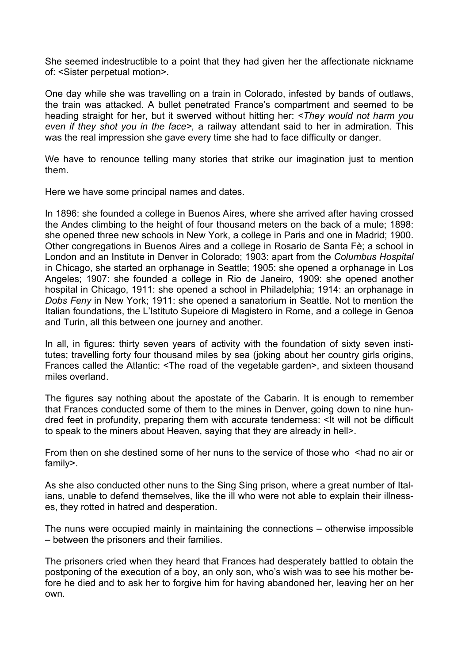She seemed indestructible to a point that they had given her the affectionate nickname of: <Sister perpetual motion>.

One day while she was travelling on a train in Colorado, infested by bands of outlaws, the train was attacked. A bullet penetrated France's compartment and seemed to be heading straight for her, but it swerved without hitting her: *<They would not harm you even if they shot you in the face>,* a railway attendant said to her in admiration. This was the real impression she gave every time she had to face difficulty or danger.

We have to renounce telling many stories that strike our imagination just to mention them.

Here we have some principal names and dates.

In 1896: she founded a college in Buenos Aires, where she arrived after having crossed the Andes climbing to the height of four thousand meters on the back of a mule; 1898: she opened three new schools in New York, a college in Paris and one in Madrid; 1900. Other congregations in Buenos Aires and a college in Rosario de Santa Fè; a school in London and an Institute in Denver in Colorado; 1903: apart from the *Columbus Hospital*  in Chicago, she started an orphanage in Seattle; 1905: she opened a orphanage in Los Angeles; 1907: she founded a college in Rio de Janeiro, 1909: she opened another hospital in Chicago, 1911: she opened a school in Philadelphia; 1914: an orphanage in *Dobs Feny* in New York; 1911: she opened a sanatorium in Seattle. Not to mention the Italian foundations, the L'Istituto Supeiore di Magistero in Rome, and a college in Genoa and Turin, all this between one journey and another.

In all, in figures: thirty seven years of activity with the foundation of sixty seven institutes; travelling forty four thousand miles by sea (joking about her country girls origins, Frances called the Atlantic: <The road of the vegetable garden>, and sixteen thousand miles overland.

The figures say nothing about the apostate of the Cabarin. It is enough to remember that Frances conducted some of them to the mines in Denver, going down to nine hundred feet in profundity, preparing them with accurate tenderness: <It will not be difficult to speak to the miners about Heaven, saying that they are already in hell>.

From then on she destined some of her nuns to the service of those who shad no air or family>.

As she also conducted other nuns to the Sing Sing prison, where a great number of Italians, unable to defend themselves, like the ill who were not able to explain their illnesses, they rotted in hatred and desperation.

The nuns were occupied mainly in maintaining the connections – otherwise impossible – between the prisoners and their families.

The prisoners cried when they heard that Frances had desperately battled to obtain the postponing of the execution of a boy, an only son, who's wish was to see his mother before he died and to ask her to forgive him for having abandoned her, leaving her on her own.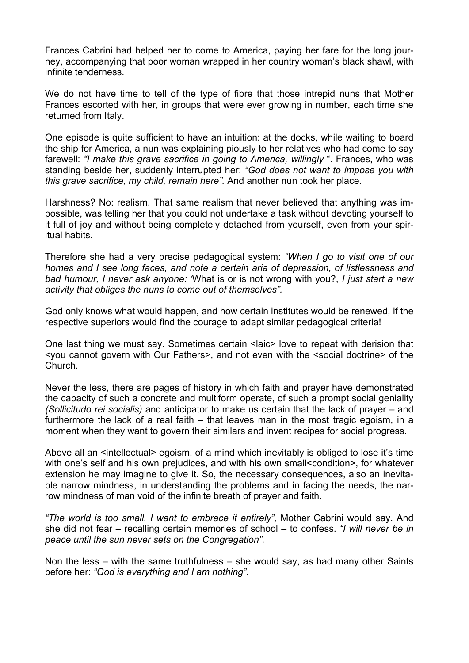Frances Cabrini had helped her to come to America, paying her fare for the long journey, accompanying that poor woman wrapped in her country woman's black shawl, with infinite tenderness.

We do not have time to tell of the type of fibre that those intrepid nuns that Mother Frances escorted with her, in groups that were ever growing in number, each time she returned from Italy.

One episode is quite sufficient to have an intuition: at the docks, while waiting to board the ship for America, a nun was explaining piously to her relatives who had come to say farewell: *"I make this grave sacrifice in going to America, willingly* ". Frances, who was standing beside her, suddenly interrupted her: *"God does not want to impose you with this grave sacrifice, my child, remain here".* And another nun took her place.

Harshness? No: realism. That same realism that never believed that anything was impossible, was telling her that you could not undertake a task without devoting yourself to it full of joy and without being completely detached from yourself, even from your spiritual habits.

Therefore she had a very precise pedagogical system: *"When I go to visit one of our homes and I see long faces, and note a certain aria of depression, of listlessness and bad humour, I never ask anyone: '*What is or is not wrong with you?, *I just start a new activity that obliges the nuns to come out of themselves".*

God only knows what would happen, and how certain institutes would be renewed, if the respective superiors would find the courage to adapt similar pedagogical criteria!

One last thing we must say. Sometimes certain < laic > love to repeat with derision that <you cannot govern with Our Fathers>, and not even with the <social doctrine> of the Church.

Never the less, there are pages of history in which faith and prayer have demonstrated the capacity of such a concrete and multiform operate, of such a prompt social geniality *(Sollicitudo rei socialis)* and anticipator to make us certain that the lack of prayer – and furthermore the lack of a real faith – that leaves man in the most tragic egoism, in a moment when they want to govern their similars and invent recipes for social progress.

Above all an <intellectual> egoism, of a mind which inevitably is obliged to lose it's time with one's self and his own prejudices, and with his own small<condition>, for whatever extension he may imagine to give it. So, the necessary consequences, also an inevitable narrow mindness, in understanding the problems and in facing the needs, the narrow mindness of man void of the infinite breath of prayer and faith.

*"The world is too small, I want to embrace it entirely",* Mother Cabrini would say. And she did not fear – recalling certain memories of school – to confess. *"I will never be in peace until the sun never sets on the Congregation".*

Non the less – with the same truthfulness – she would say, as had many other Saints before her: *"God is everything and I am nothing".*